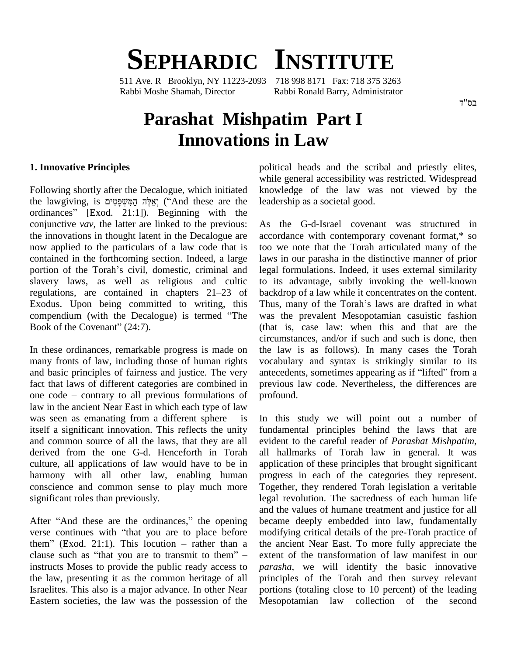# **SEPHARDIC INSTITUTE**

511 Ave. R Brooklyn, NY 11223-2093 718 998 8171 Fax: 718 375 3263 Rabbi Moshe Shamah, Director Rabbi Ronald Barry, Administrator

#### בס"ד

## **Parashat Mishpatim Part I Innovations in Law**

#### **1. Innovative Principles**

Following shortly after the Decalogue, which initiated while<br>Following shortly after the Decalogue, which initiated know<br>And these are the leade (íand these are the leade) (אֵלֶּה הַמִּשְׁפָּטִים) Following shortly after the Decalogue, which initiated know<br>the lawgiving, is וְאֵלֶּה הַמְּשְׁפָּטִים ("And these are the leade<br>ordinances" [Exod. 21:1]). Beginning with the conjunctive *vav*, the latter are linked to the previous: the innovations in thought latent in the Decalogue are now applied to the particulars of a law code that is too w<br>contained in the forthcoming section. Indeed, a large laws is<br>portion of the Torah's civil, domestic, criminal and legal is contained in the forthcoming section. Indeed, a large slavery laws, as well as religious and cultic portion of the Torah's civil, domestic, criminal and<br>slavery laws, as well as religious and cultic<br>regulations, are contained in chapters 21–23 of Exodus. Upon being committed to writing, this regulations, are contained in chapters 21–23 of backers<br>Exodus. Upon being committed to writing, this Thus<br>compendium (with the Decalogue) is termed "The was compendium (with the Decalogue) is termed "The Book of the Covenant" (24:7).

In these ordinances, remarkable progress is made on many fronts of law, including those of human rights and basic principles of fairness and justice. The very fact that laws of different categories are combined in and basic principles of fairness and justice. The very ant<br>fact that laws of different categories are combined in pre<br>one code – contrary to all previous formulations of pro law in the ancient Near East in which each type of law one code – contrary to all previous formulations of prof<br>law in the ancient Near East in which each type of law<br>was seen as emanating from a different sphere – is In itself a significant innovation. This reflects the unity and common source of all the laws, that they are all derived from the one G-d. Henceforth in Torah culture, all applications of law would have to be in harmony with all other law, enabling human conscience and common sense to play much more significant roles than previously.

After "And these are the ordinances," the opening and t<br>After "And these are the ordinances," the opening becan<br>verse continues with "that you are to place before modi After "And these are the ordinances," the opening becant verse continues with "that you are to place before modi<br>them" (Exod. 21:1). This locution – rather than a the a verse continues with "that you are to place before modif them" (Exod. 21:1). This locution – rather than a the an clause such as "that you are to transmit to them" – extent instructs Moses to provide the public ready access to the law, presenting it as the common heritage of all Israelites. This also is a major advance. In other Near Eastern societies, the law was the possession of the

political heads and the scribal and priestly elites, while general accessibility was restricted. Widespread knowledge of the law was not viewed by the leadership as a societal good.

As the G-d-Israel covenant was structured in accordance with contemporary covenant format,\* so too we note that the Torah articulated many of the laws in our parasha in the distinctive manner of prior legal formulations. Indeed, it uses external similarity to its advantage, subtly invoking the well-known<br>backdrop of a law while it concentrates on the content.<br>Thus, many of the Torah's laws are drafted in what backdrop of a law while it concentrates on the content. was the prevalent Mesopotamian casuistic fashion (that is, case law: when this and that are the circumstances, and/or if such and such is done, then the law is as follows). In many cases the Torah vocabulary and syntax is strikingly similar to its antecedents, sometimes appearing as if "lifted" from a previous law code. Nevertheless, the differences are profound.

In this study we will point out a number of fundamental principles behind the laws that are evident to the careful reader of *Parashat Mishpatim*, all hallmarks of Torah law in general. It was application of these principles that brought significant progress in each of the categories they represent. Together, they rendered Torah legislation a veritable legal revolution. The sacredness of each human life and the values of humane treatment and justice for all became deeply embedded into law, fundamentally modifying critical details of the pre-Torah practice of the ancient Near East. To more fully appreciate the extent of the transformation of law manifest in our *parasha*, we will identify the basic innovative principles of the Torah and then survey relevant portions (totaling close to 10 percent) of the leading Mesopotamian law collection of the second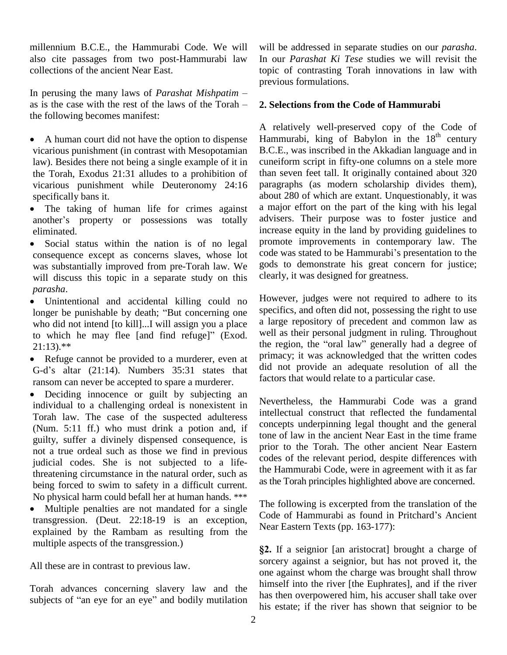millennium B.C.E., the Hammurabi Code. We will also cite passages from two post-Hammurabi law collections of the ancient Near East. collections of the ancient Near East. topic of<br>In perusing the many laws of *Parashat Mishpatim* –

In perusing the many laws of *Parashat Mishpatim* – previous is the case with the rest of the laws of the Torah – 2. Selement the following becomes manifest:

- A human court did not have the option to dispense vicarious punishment (in contrast with Mesopotamian law). Besides there not being a single example of it in the Torah, Exodus 21:31 alludes to a prohibition of vicarious punishment while Deuteronomy 24:16 paragr<br>specifically bans it. about
- The taking of human life for crimes against a specifically bans it.<br>
• The taking of human life for crimes against a majon another's property or possessions was totally advise another's property or possessions was totally eliminated.
- $\bullet$ consequence except as concerns slaves, whose lot was substantially improved from pre-Torah law. We will discuss this topic in a separate study on this *parasha*.
- Unintentional and accidental killing could no parasha.<br>• Unintentional and accidental killing could no Howe<br>longer be punishable by death; "But concerning one speci who did not intend [to kill]...I will assign you a place longer be punishable by death; "But concerning one state who did not intend [to kill]...I will assign you a place a to which he may flee [and find refuge]" (Exod.  $21:13$ ).\*\* to which he may flee [and find refuge]" (Exod.
- Refuge cannot be provided to a murderer, even at  $\frac{p}{q}$ 21:13).\*\*<br>
Refuge cannot be provided to a murderer, even at pr<br>
G-d's altar (21:14). Numbers 35:31 states that di G-d's altar (21:14). Numbers 35:31 states that ransom can never be accepted to spare a murderer.
- Deciding innocence or guilt by subjecting an individual to a challenging ordeal is nonexistent in Torah law. The case of the suspected adulteress (Num. 5:11 ff.) who must drink a potion and, if guilty, suffer a divinely dispensed consequence, is not a true ordeal such as those we find in previous judicial codes. She is not subjected to a lifethreatening circumstance in the natural order, such as being forced to swim to safety in a difficult current. <sup>as</sup> No physical harm could befall her at human hands. \*\*\*
- $\bullet$  Multiple penalties are not mandated for a single transgression. (Deut. 22:18-19 is an exception, explained by the Rambam as resulting from the multiple aspects of the transgression.)

All these are in contrast to previous law.

Torah advances concerning slavery law and the minim one ag<br>Torah advances concerning slavery law and the himse<br>subjects of "an eye for an eye" and bodily mutilation

will be addressed in separate studies on our *parasha*. In our *Parashat Ki Tese* studies we will revisit the topic of contrasting Torah innovations in law with previous formulations.

### **2. Selections from the Code of Hammurabi**

Social status within the nation is of no legal promote improvements in contemporary law. The specified section is concerned specified to be Hammurabi's presentation to the A relatively well-preserved copy of the Code of Hammurabi, king of Babylon in the  $18<sup>th</sup>$  century B.C.E., was inscribed in the Akkadian language and in cuneiform script in fifty-one columns on a stele more than seven feet tall. It originally contained about 320 paragraphs (as modern scholarship divides them), about 280 of which are extant. Unquestionably, it was a major effort on the part of the king with his legal advisers. Their purpose was to foster justice and increase equity in the land by providing guidelines to promote improvements in contemporary law. The increase equity in the land by providing guidelines to<br>promote improvements in contemporary law. The<br>code was stated to be Hammurabi's presentation to the gods to demonstrate his great concern for justice; clearly, it was designed for greatness.

> However, judges were not required to adhere to its specifics, and often did not, possessing the right to use a large repository of precedent and common law as well as their personal judgment in ruling. Throughout the region, the "oral law" generally had a degree of primacy; it was acknowledged that the written codes did not provide an adequate resolution of all the factors that would relate to a particular case.

> Nevertheless, the Hammurabi Code was a grand intellectual construct that reflected the fundamental concepts underpinning legal thought and the general tone of law in the ancient Near East in the time frame prior to the Torah. The other ancient Near Eastern codes of the relevant period, despite differences with the Hammurabi Code, were in agreement with it as far as the Torah principles highlighted above are concerned.

> The following is excerpted from the translation of the Code of Hammurabi as found in Pritchard's Ancient **Near Eastern Texts (pp. 163-177):**

> **§2.** If a seignior [an aristocrat] brought a charge of sorcery against a seignior, but has not proved it, the one against whom the charge was brought shall throw himself into the river [the Euphrates], and if the river has then overpowered him, his accuser shall take over his estate; if the river has shown that seignior to be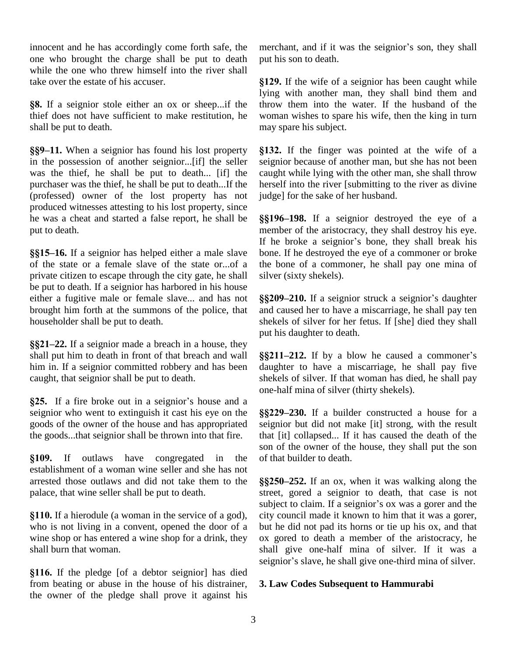innocent and he has accordingly come forth safe, the one who brought the charge shall be put to death while the one who threw himself into the river shall take over the estate of his accuser.

**§8.** If a seignior stole either an ox or sheep...if the thief does not have sufficient to make restitution, he shall be put to death.

**§§9–11.** When a seignior has found his lost property in the possession of another seignior...[if] the seller was the thief, he shall be put to death... [if] the purchaser was the thief, he shall be put to death...If the (professed) owner of the lost property has not produced witnesses attesting to his lost property, since he was a cheat and started a false report, he shall be but to death.

**16.** If a seignior has helped either a male slave of the state or a female slave of the state or...of a private citizen to escape through the city gate, he shall be put to death. If a seignior has harbored in his house either a fugitive male or female slave... and has not brought him forth at the summons of the police, that householder shall be put to death.

**22.** If a seignior made a breach in a house, they shall put him to death in front of that breach and wall him in. If a seignior committed robbery and has been caught, that seignior shall be put to death.

§25. If a fire broke out in a seignior's house and a seignior who went to extinguish it cast his eye on the goods of the owner of the house and has appropriated the goods...that seignior shall be thrown into that fire.

 If outlaws have congregated in the establishment of a woman wine seller and she has not arrested those outlaws and did not take them to the palace, that wine seller shall be put to death.

 If a hierodule (a woman in the service of a god), who is not living in a convent, opened the door of a wine shop or has entered a wine shop for a drink, they shall burn that woman.

§116. If the pledge [of a debtor seignior] has died from beating or abuse in the house of his distrainer, the owner of the pledge shall prove it against his merchant, and if it was the seignior's son, they shall put his son to death.

§129. If the wife of a seignior has been caught while lying with another man, they shall bind them and throw them into the water. If the husband of the woman wishes to spare his wife, then the king in turn may spare his subject.

§132. If the finger was pointed at the wife of a seignior because of another man, but she has not been caught while lying with the other man, she shall throw herself into the river [submitting to the river as divine judge] for the sake of her husband.

**198.** If a seignior destroyed the eye of a member of the aristocracy, they shall destroy his eye. If he broke a seignior's bone, they shall break his bone. If he destroyed the eye of a commoner or broke the bone of a commoner, he shall pay one mina of silver (sixty shekels).

**88209–210.** If a seignior struck a seignior's daughter and caused her to have a miscarriage, he shall pay ten shekels of silver for her fetus. If [she] died they shall put his daughter to death.

**88211-212.** If by a blow he caused a commoner's daughter to have a miscarriage, he shall pay five shekels of silver. If that woman has died, he shall pay one-half mina of silver (thirty shekels).

**230.** If a builder constructed a house for a seignior but did not make [it] strong, with the result that [it] collapsed... If it has caused the death of the son of the owner of the house, they shall put the son of that builder to death.

**252.** If an ox, when it was walking along the street, gored a seignior to death, that case is not §§250–252. If an ox, when it was walking along the street, gored a seignior to death, that case is not subject to claim. If a seignior's ox was a gorer and the city council made it known to him that it was a gorer, but he did not pad its horns or tie up his ox, and that ox gored to death a member of the aristocracy, he shall give one-half mina of silver. If it was a ox gored to death a member of the aristocracy, he shall give one-half mina of silver. If it was a seignior's slave, he shall give one-third mina of silver.

#### **3. Law Codes Subsequent to Hammurabi**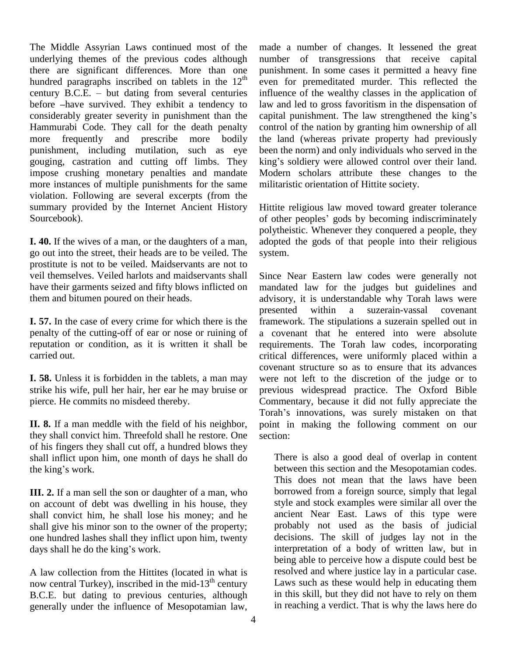The Middle Assyrian Laws continued most of the underlying themes of the previous codes although there are significant differences. More than one punis<br>hundred paragraphs inscribed on tablets in the  $12<sup>th</sup>$  even<br>century B.C.E. – but dating from several centuries influe hundred paragraphs inscribed on tablets in the  $12<sup>th</sup>$ century B.C.E. – but dating from several centuries before –have survived. They exhibit a tendency to considerably greater severity in punishment than the capital punishment. The law strengthened the king's Hammurabi Code. They call for the death penalty more frequently and prescribe more bodily punishment, including mutilation, such as eye gouging, castration and cutting off limbs. They king's soldiery were allowed control over their land. impose crushing monetary penalties and mandate more instances of multiple punishments for the same violation. Following are several excerpts (from the summary provided by the Internet Ancient History Sourcebook).

**I. 40.** If the wives of a man, or the daughters of a man, go out into the street, their heads are to be veiled. The prostitute is not to be veiled. Maidservants are not to veil themselves. Veiled harlots and maidservants shall have their garments seized and fifty blows inflicted on them and bitumen poured on their heads.

**I. 57.** In the case of every crime for which there is the penalty of the cutting-off of ear or nose or ruining of reputation or condition, as it is written it shall be carried out.

**I. 58.** Unless it is forbidden in the tablets, a man may strike his wife, pull her hair, her ear he may bruise or pierce. He commits no misdeed thereby.

**II. 8.** If a man meddle with the field of his neighbor, they shall convict him. Threefold shall he restore. One of his fingers they shall cut off, a hundred blows they shall inflict upon him, one month of days he shall do of his fingers they sh<br>shall inflict upon hir<br>the king's work.

**III. 2.** If a man sell the son or daughter of a man, who on account of debt was dwelling in his house, they shall convict him, he shall lose his money; and he shall give his minor son to the owner of the property; days shall he do the kingí<sup>s</sup> work. one hundred lashes shall they inflict upon him, twenty

A law collection from the Hittites (located in what is now central Turkey), inscribed in the mid-13<sup>th</sup> century La B.C.E. but dating to previous centuries, although generally under the influence of Mesopotamian law,

<sup>th</sup> even for premeditated murder. This reflected the made a number of changes. It lessened the great number of transgressions that receive capital punishment. In some cases it permitted a heavy fine influence of the wealthy classes in the application of law and led to gross favoritism in the dispensation of influence of the wealthy classes in the application of<br>law and led to gross favoritism in the dispensation of<br>capital punishment. The law strengthened the king's control of the nation by granting him ownership of all the land (whereas private property had previously been the norm) and only individuals who served in the the land (whereas private property had previously<br>been the norm) and only individuals who served in the<br>king's soldiery were allowed control over their land. Modern scholars attribute these changes to the militaristic orientation of Hittite society.

Hittite religious law moved toward greater tolerance of other peoples' gods by becoming indiscriminately polytheistic. Whenever they conquered a people, they adopted the gods of that people into their religious system.

Since Near Eastern law codes were generally not mandated law for the judges but guidelines and advisory, it is understandable why Torah laws were presented within a suzerain-vassal covenant framework. The stipulations a suzerain spelled out in a covenant that he entered into were absolute requirements. The Torah law codes, incorporating critical differences, were uniformly placed within a covenant structure so as to ensure that its advances were not left to the discretion of the judge or to previous widespread practice. The Oxford Bible Commentary, because it did not fully appreciate the previous widespread practice. The Oxford Bible<br>Commentary, because it did not fully appreciate the<br>Torah's innovations, was surely mistaken on that point in making the following comment on our section:

There is also a good deal of overlap in content between this section and the Mesopotamian codes. This does not mean that the laws have been borrowed from a foreign source, simply that legal style and stock examples were similar all over the ancient Near East. Laws of this type were probably not used as the basis of judicial decisions. The skill of judges lay not in the interpretation of a body of written law, but in being able to perceive how a dispute could best be resolved and where justice lay in a particular case. Laws such as these would help in educating them in this skill, but they did not have to rely on them in reaching a verdict. That is why the laws here do